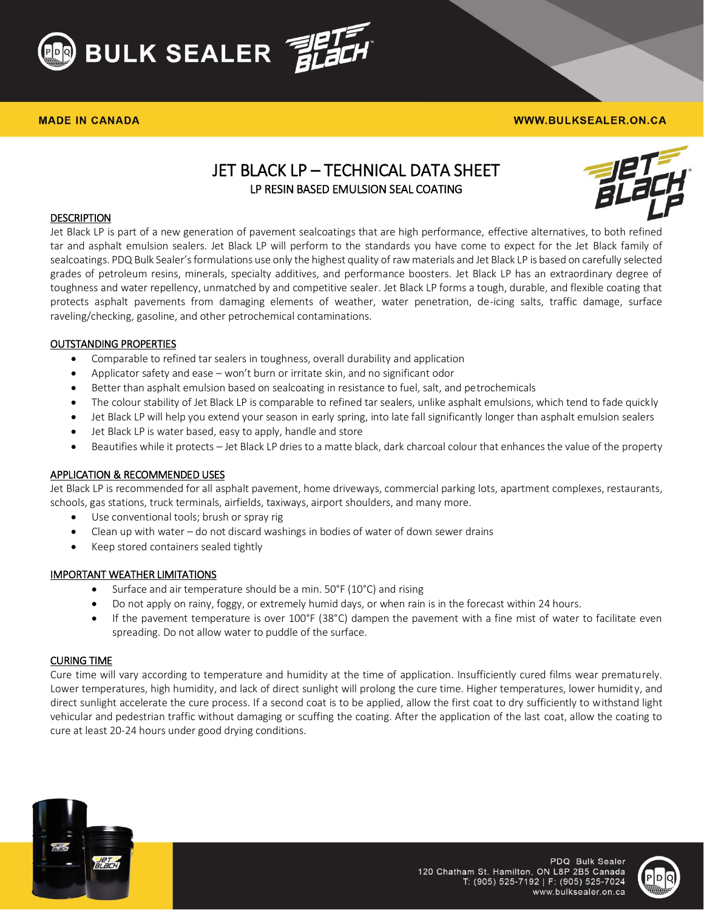

### **MADE IN CANADA**

### **WWW.BULKSEALER.ON.CA**

# JET BLACK LP – TECHNICAL DATA SHEET LP RESIN BASED EMULSION SEAL COATING



## **DESCRIPTION**

Jet Black LP is part of a new generation of pavement sealcoatings that are high performance, effective alternatives, to both refined tar and asphalt emulsion sealers. Jet Black LP will perform to the standards you have come to expect for the Jet Black family of sealcoatings. PDQ Bulk Sealer's formulations use only the highest quality of raw materials and Jet Black LP is based on carefully selected grades of petroleum resins, minerals, specialty additives, and performance boosters. Jet Black LP has an extraordinary degree of toughness and water repellency, unmatched by and competitive sealer. Jet Black LP forms a tough, durable, and flexible coating that protects asphalt pavements from damaging elements of weather, water penetration, de-icing salts, traffic damage, surface raveling/checking, gasoline, and other petrochemical contaminations.

# OUTSTANDING PROPERTIES

- Comparable to refined tar sealers in toughness, overall durability and application
- Applicator safety and ease won't burn or irritate skin, and no significant odor
- Better than asphalt emulsion based on sealcoating in resistance to fuel, salt, and petrochemicals
- The colour stability of Jet Black LP is comparable to refined tar sealers, unlike asphalt emulsions, which tend to fade quickly
- Jet Black LP will help you extend your season in early spring, into late fall significantly longer than asphalt emulsion sealers
- Jet Black LP is water based, easy to apply, handle and store
- Beautifies while it protects Jet Black LP dries to a matte black, dark charcoal colour that enhances the value of the property

### APPLICATION & RECOMMENDED USES

Jet Black LP is recommended for all asphalt pavement, home driveways, commercial parking lots, apartment complexes, restaurants, schools, gas stations, truck terminals, airfields, taxiways, airport shoulders, and many more.

- Use conventional tools; brush or spray rig
- Clean up with water do not discard washings in bodies of water of down sewer drains
- Keep stored containers sealed tightly

### IMPORTANT WEATHER LIMITATIONS

- Surface and air temperature should be a min. 50°F (10°C) and rising
- Do not apply on rainy, foggy, or extremely humid days, or when rain is in the forecast within 24 hours.
- If the pavement temperature is over 100°F (38°C) dampen the pavement with a fine mist of water to facilitate even spreading. Do not allow water to puddle of the surface.

### CURING TIME

Cure time will vary according to temperature and humidity at the time of application. Insufficiently cured films wear prematurely. Lower temperatures, high humidity, and lack of direct sunlight will prolong the cure time. Higher temperatures, lower humidity, and direct sunlight accelerate the cure process. If a second coat is to be applied, allow the first coat to dry sufficiently to withstand light vehicular and pedestrian traffic without damaging or scuffing the coating. After the application of the last coat, allow the coating to cure at least 20-24 hours under good drying conditions.



PDQ Bulk Sealer 120 Chatham St. Hamilton, ON L8P 2B5 Canada T: (905) 525-7192 | F: (905) 525-7024 www.bulksealer.on.ca